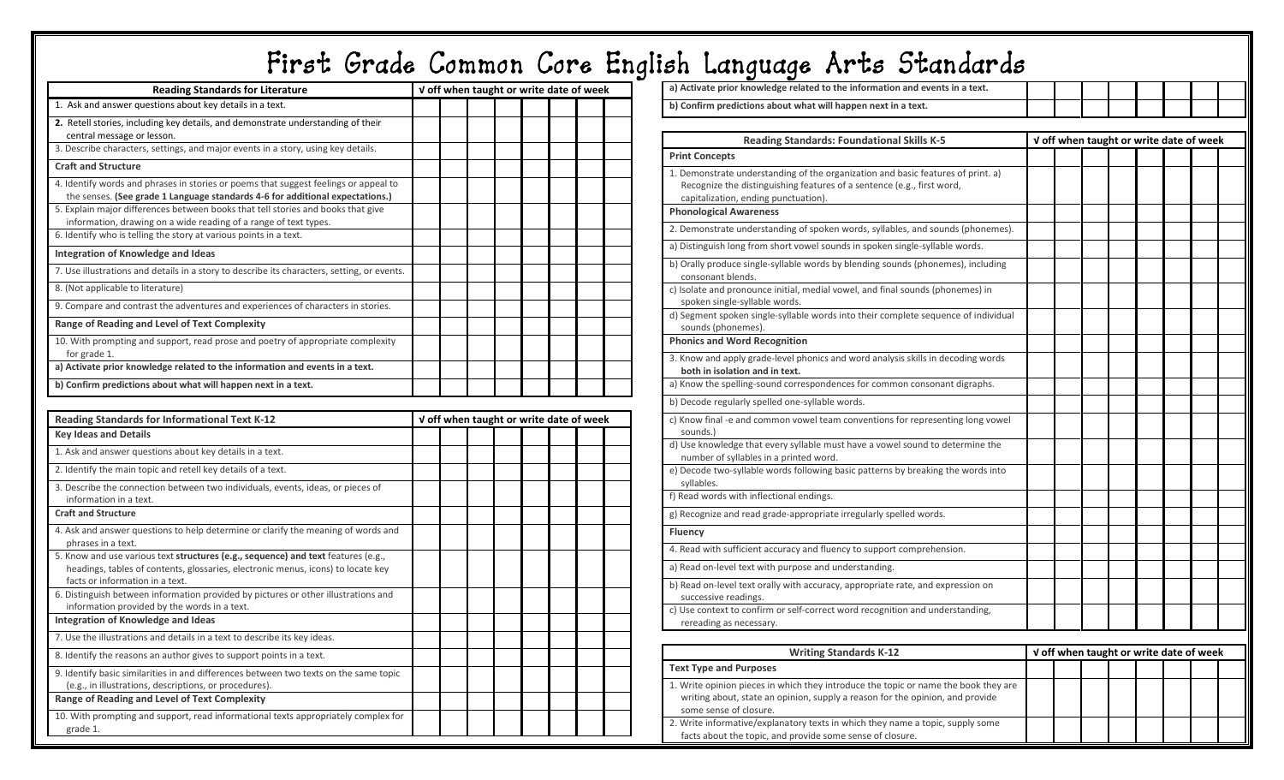|                                                                                                                                                                       |  |                                         |  |  |  | First Grade Common Core English Language Arts Standards                                                                 |  |                                         |  |  |
|-----------------------------------------------------------------------------------------------------------------------------------------------------------------------|--|-----------------------------------------|--|--|--|-------------------------------------------------------------------------------------------------------------------------|--|-----------------------------------------|--|--|
| <b>Reading Standards for Literature</b>                                                                                                                               |  | V off when taught or write date of week |  |  |  | a) Activate prior knowledge related to the information and events in a text.                                            |  |                                         |  |  |
| 1. Ask and answer questions about key details in a text.                                                                                                              |  |                                         |  |  |  | b) Confirm predictions about what will happen next in a text.                                                           |  |                                         |  |  |
| 2. Retell stories, including key details, and demonstrate understanding of their                                                                                      |  |                                         |  |  |  |                                                                                                                         |  |                                         |  |  |
| central message or lesson.                                                                                                                                            |  |                                         |  |  |  | <b>Reading Standards: Foundational Skills K-5</b>                                                                       |  | V off when taught or write date of week |  |  |
| 3. Describe characters, settings, and major events in a story, using key details.                                                                                     |  |                                         |  |  |  | <b>Print Concepts</b>                                                                                                   |  |                                         |  |  |
| <b>Craft and Structure</b>                                                                                                                                            |  |                                         |  |  |  | 1. Demonstrate understanding of the organization and basic features of print. a)                                        |  |                                         |  |  |
| 4. Identify words and phrases in stories or poems that suggest feelings or appeal to<br>the senses. (See grade 1 Language standards 4-6 for additional expectations.) |  |                                         |  |  |  | Recognize the distinguishing features of a sentence (e.g., first word,<br>capitalization, ending punctuation).          |  |                                         |  |  |
| 5. Explain major differences between books that tell stories and books that give                                                                                      |  |                                         |  |  |  | <b>Phonological Awareness</b>                                                                                           |  |                                         |  |  |
| information, drawing on a wide reading of a range of text types.<br>6. Identify who is telling the story at various points in a text.                                 |  |                                         |  |  |  | 2. Demonstrate understanding of spoken words, syllables, and sounds (phonemes).                                         |  |                                         |  |  |
|                                                                                                                                                                       |  |                                         |  |  |  | a) Distinguish long from short vowel sounds in spoken single-syllable words.                                            |  |                                         |  |  |
| Integration of Knowledge and Ideas                                                                                                                                    |  |                                         |  |  |  | b) Orally produce single-syllable words by blending sounds (phonemes), including                                        |  |                                         |  |  |
| 7. Use illustrations and details in a story to describe its characters, setting, or events.                                                                           |  |                                         |  |  |  | consonant blends.                                                                                                       |  |                                         |  |  |
| 8. (Not applicable to literature)                                                                                                                                     |  |                                         |  |  |  | c) Isolate and pronounce initial, medial vowel, and final sounds (phonemes) in                                          |  |                                         |  |  |
| 9. Compare and contrast the adventures and experiences of characters in stories.                                                                                      |  |                                         |  |  |  | spoken single-syllable words.<br>d) Segment spoken single-syllable words into their complete sequence of individual     |  |                                         |  |  |
| Range of Reading and Level of Text Complexity                                                                                                                         |  |                                         |  |  |  | sounds (phonemes).                                                                                                      |  |                                         |  |  |
| 10. With prompting and support, read prose and poetry of appropriate complexity<br>for grade 1.                                                                       |  |                                         |  |  |  | <b>Phonics and Word Recognition</b>                                                                                     |  |                                         |  |  |
| a) Activate prior knowledge related to the information and events in a text.                                                                                          |  |                                         |  |  |  | 3. Know and apply grade-level phonics and word analysis skills in decoding words<br>both in isolation and in text.      |  |                                         |  |  |
| b) Confirm predictions about what will happen next in a text.                                                                                                         |  |                                         |  |  |  | a) Know the spelling-sound correspondences for common consonant digraphs.                                               |  |                                         |  |  |
|                                                                                                                                                                       |  |                                         |  |  |  | b) Decode regularly spelled one-syllable words.                                                                         |  |                                         |  |  |
| <b>Reading Standards for Informational Text K-12</b>                                                                                                                  |  | V off when taught or write date of week |  |  |  | c) Know final -e and common vowel team conventions for representing long vowel                                          |  |                                         |  |  |
| <b>Key Ideas and Details</b>                                                                                                                                          |  |                                         |  |  |  | sounds.)                                                                                                                |  |                                         |  |  |
| 1. Ask and answer questions about key details in a text.                                                                                                              |  |                                         |  |  |  | d) Use knowledge that every syllable must have a vowel sound to determine the<br>number of syllables in a printed word. |  |                                         |  |  |
| 2. Identify the main topic and retell key details of a text.                                                                                                          |  |                                         |  |  |  | e) Decode two-syllable words following basic patterns by breaking the words into                                        |  |                                         |  |  |
| 3. Describe the connection between two individuals, events, ideas, or pieces of                                                                                       |  |                                         |  |  |  | syllables.                                                                                                              |  |                                         |  |  |
| information in a text.                                                                                                                                                |  |                                         |  |  |  | f) Read words with inflectional endings.                                                                                |  |                                         |  |  |
| <b>Craft and Structure</b>                                                                                                                                            |  |                                         |  |  |  | g) Recognize and read grade-appropriate irregularly spelled words.                                                      |  |                                         |  |  |
| 4. Ask and answer questions to help determine or clarify the meaning of words and                                                                                     |  |                                         |  |  |  | <b>Fluency</b>                                                                                                          |  |                                         |  |  |
| phrases in a text.<br>5. Know and use various text structures (e.g., sequence) and text features (e.g.,                                                               |  |                                         |  |  |  | 4. Read with sufficient accuracy and fluency to support comprehension.                                                  |  |                                         |  |  |
| headings, tables of contents, glossaries, electronic menus, icons) to locate key                                                                                      |  |                                         |  |  |  | a) Read on-level text with purpose and understanding.                                                                   |  |                                         |  |  |
| facts or information in a text.                                                                                                                                       |  |                                         |  |  |  | b) Read on-level text orally with accuracy, appropriate rate, and expression on                                         |  |                                         |  |  |
| 6. Distinguish between information provided by pictures or other illustrations and<br>information provided by the words in a text.                                    |  |                                         |  |  |  | successive readings.                                                                                                    |  |                                         |  |  |
| Integration of Knowledge and Ideas                                                                                                                                    |  |                                         |  |  |  | c) Use context to confirm or self-correct word recognition and understanding,<br>rereading as necessary.                |  |                                         |  |  |
| 7. Use the illustrations and details in a text to describe its key ideas.                                                                                             |  |                                         |  |  |  |                                                                                                                         |  |                                         |  |  |
| 8. Identify the reasons an author gives to support points in a text.                                                                                                  |  |                                         |  |  |  | <b>Writing Standards K-12</b>                                                                                           |  | V off when taught or write date of week |  |  |
| 9. Identify basic similarities in and differences between two texts on the same topic                                                                                 |  |                                         |  |  |  | <b>Text Type and Purposes</b>                                                                                           |  |                                         |  |  |
| (e.g., in illustrations, descriptions, or procedures).                                                                                                                |  |                                         |  |  |  | 1. Write opinion pieces in which they introduce the topic or name the book they are                                     |  |                                         |  |  |
| Range of Reading and Level of Text Complexity                                                                                                                         |  |                                         |  |  |  | writing about, state an opinion, supply a reason for the opinion, and provide                                           |  |                                         |  |  |
| 10. With prompting and support, read informational texts appropriately complex for                                                                                    |  |                                         |  |  |  | some sense of closure.<br>2. Write informative/explanatory texts in which they name a topic, supply some                |  |                                         |  |  |
| grade 1.                                                                                                                                                              |  |                                         |  |  |  | facts about the topic, and provide some sense of closure.                                                               |  |                                         |  |  |